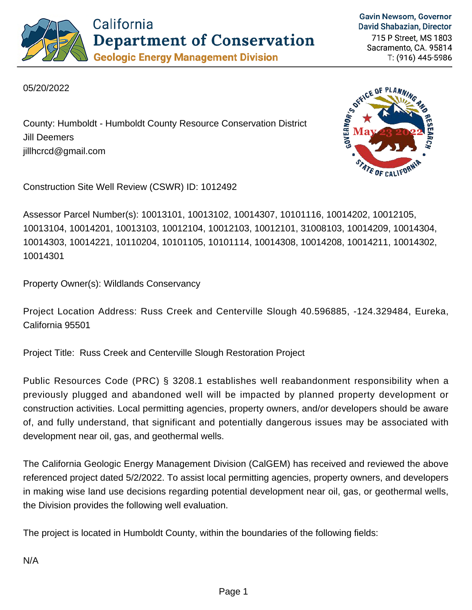

**Gavin Newsom, Governor** David Shabazian, Director

715 P Street, MS 1803 Sacramento, CA. 95814 T: (916) 445-5986

05/20/2022

County: Humboldt - Humboldt County Resource Conservation District Jill Deemers jillhcrcd@gmail.com

Construction Site Well Review (CSWR) ID: 1012492

Assessor Parcel Number(s): 10013101, 10013102, 10014307, 10101116, 10014202, 10012105, 10013104, 10014201, 10013103, 10012104, 10012103, 10012101, 31008103, 10014209, 10014304, 10014303, 10014221, 10110204, 10101105, 10101114, 10014308, 10014208, 10014211, 10014302, 10014301

Property Owner(s): Wildlands Conservancy

Project Location Address: Russ Creek and Centerville Slough 40.596885, -124.329484, Eureka, California 95501

Project Title: Russ Creek and Centerville Slough Restoration Project

Public Resources Code (PRC) § 3208.1 establishes well reabandonment responsibility when a previously plugged and abandoned well will be impacted by planned property development or construction activities. Local permitting agencies, property owners, and/or developers should be aware of, and fully understand, that significant and potentially dangerous issues may be associated with development near oil, gas, and geothermal wells.

The California Geologic Energy Management Division (CalGEM) has received and reviewed the above referenced project dated 5/2/2022. To assist local permitting agencies, property owners, and developers in making wise land use decisions regarding potential development near oil, gas, or geothermal wells, the Division provides the following well evaluation.

The project is located in Humboldt County, within the boundaries of the following fields: